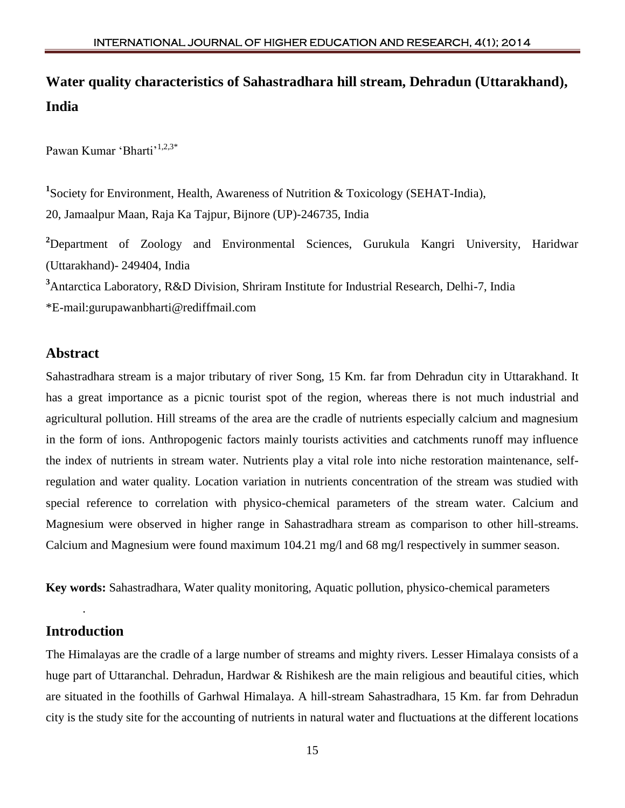# **Water quality characteristics of Sahastradhara hill stream, Dehradun (Uttarakhand), India**

Pawan Kumar 'Bharti'<sup>1,2,3\*</sup>

<sup>1</sup>Society for Environment, Health, Awareness of Nutrition & Toxicology (SEHAT-India), 20, Jamaalpur Maan, Raja Ka Tajpur, Bijnore (UP)-246735, India

**<sup>2</sup>**Department of Zoology and Environmental Sciences, Gurukula Kangri University, Haridwar (Uttarakhand)- 249404, India

**<sup>3</sup>**Antarctica Laboratory, R&D Division, Shriram Institute for Industrial Research, Delhi-7, India

\*E-mail:gurupawanbharti@rediffmail.com

#### **Abstract**

Sahastradhara stream is a major tributary of river Song, 15 Km. far from Dehradun city in Uttarakhand. It has a great importance as a picnic tourist spot of the region, whereas there is not much industrial and agricultural pollution. Hill streams of the area are the cradle of nutrients especially calcium and magnesium in the form of ions. Anthropogenic factors mainly tourists activities and catchments runoff may influence the index of nutrients in stream water. Nutrients play a vital role into niche restoration maintenance, selfregulation and water quality. Location variation in nutrients concentration of the stream was studied with special reference to correlation with physico-chemical parameters of the stream water. Calcium and Magnesium were observed in higher range in Sahastradhara stream as comparison to other hill-streams. Calcium and Magnesium were found maximum 104.21 mg/l and 68 mg/l respectively in summer season.

**Key words:** Sahastradhara, Water quality monitoring, Aquatic pollution, physico-chemical parameters

## **Introduction**

.

The Himalayas are the cradle of a large number of streams and mighty rivers. Lesser Himalaya consists of a huge part of Uttaranchal. Dehradun, Hardwar & Rishikesh are the main religious and beautiful cities, which are situated in the foothills of Garhwal Himalaya. A hill-stream Sahastradhara, 15 Km. far from Dehradun city is the study site for the accounting of nutrients in natural water and fluctuations at the different locations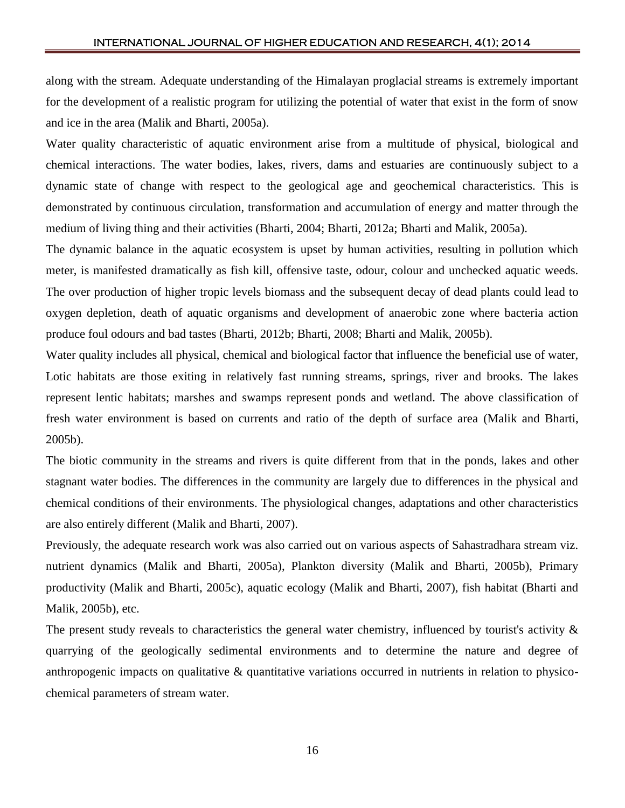along with the stream. Adequate understanding of the Himalayan proglacial streams is extremely important for the development of a realistic program for utilizing the potential of water that exist in the form of snow and ice in the area (Malik and Bharti, 2005a).

Water quality characteristic of aquatic environment arise from a multitude of physical, biological and chemical interactions. The water bodies, lakes, rivers, dams and estuaries are continuously subject to a dynamic state of change with respect to the geological age and geochemical characteristics. This is demonstrated by continuous circulation, transformation and accumulation of energy and matter through the medium of living thing and their activities (Bharti, 2004; Bharti, 2012a; Bharti and Malik, 2005a).

The dynamic balance in the aquatic ecosystem is upset by human activities, resulting in pollution which meter, is manifested dramatically as fish kill, offensive taste, odour, colour and unchecked aquatic weeds. The over production of higher tropic levels biomass and the subsequent decay of dead plants could lead to oxygen depletion, death of aquatic organisms and development of anaerobic zone where bacteria action produce foul odours and bad tastes (Bharti, 2012b; Bharti, 2008; Bharti and Malik, 2005b).

Water quality includes all physical, chemical and biological factor that influence the beneficial use of water, Lotic habitats are those exiting in relatively fast running streams, springs, river and brooks. The lakes represent lentic habitats; marshes and swamps represent ponds and wetland. The above classification of fresh water environment is based on currents and ratio of the depth of surface area (Malik and Bharti, 2005b).

The biotic community in the streams and rivers is quite different from that in the ponds, lakes and other stagnant water bodies. The differences in the community are largely due to differences in the physical and chemical conditions of their environments. The physiological changes, adaptations and other characteristics are also entirely different (Malik and Bharti, 2007).

Previously, the adequate research work was also carried out on various aspects of Sahastradhara stream viz. nutrient dynamics (Malik and Bharti, 2005a), Plankton diversity (Malik and Bharti, 2005b), Primary productivity (Malik and Bharti, 2005c), aquatic ecology (Malik and Bharti, 2007), fish habitat (Bharti and Malik, 2005b), etc.

The present study reveals to characteristics the general water chemistry, influenced by tourist's activity  $\&$ quarrying of the geologically sedimental environments and to determine the nature and degree of anthropogenic impacts on qualitative & quantitative variations occurred in nutrients in relation to physicochemical parameters of stream water.

16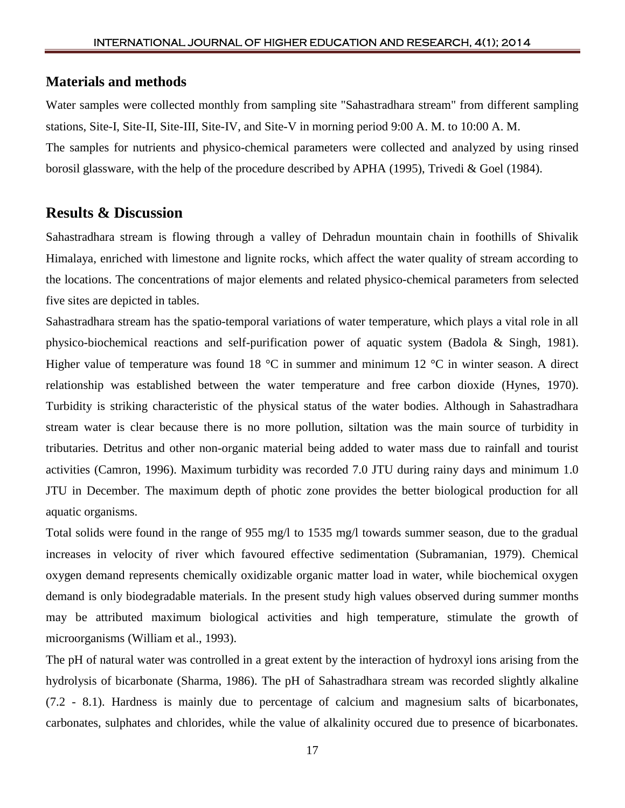#### **Materials and methods**

Water samples were collected monthly from sampling site "Sahastradhara stream" from different sampling stations, Site-I, Site-II, Site-III, Site-IV, and Site-V in morning period 9:00 A. M. to 10:00 A. M. The samples for nutrients and physico-chemical parameters were collected and analyzed by using rinsed borosil glassware, with the help of the procedure described by APHA (1995), Trivedi & Goel (1984).

#### **Results & Discussion**

Sahastradhara stream is flowing through a valley of Dehradun mountain chain in foothills of Shivalik Himalaya, enriched with limestone and lignite rocks, which affect the water quality of stream according to the locations. The concentrations of major elements and related physico-chemical parameters from selected five sites are depicted in tables.

Sahastradhara stream has the spatio-temporal variations of water temperature, which plays a vital role in all physico-biochemical reactions and self-purification power of aquatic system (Badola & Singh, 1981). Higher value of temperature was found 18  $^{\circ}$ C in summer and minimum 12  $^{\circ}$ C in winter season. A direct relationship was established between the water temperature and free carbon dioxide (Hynes, 1970). Turbidity is striking characteristic of the physical status of the water bodies. Although in Sahastradhara stream water is clear because there is no more pollution, siltation was the main source of turbidity in tributaries. Detritus and other non-organic material being added to water mass due to rainfall and tourist activities (Camron, 1996). Maximum turbidity was recorded 7.0 JTU during rainy days and minimum 1.0 JTU in December. The maximum depth of photic zone provides the better biological production for all aquatic organisms.

Total solids were found in the range of 955 mg/l to 1535 mg/l towards summer season, due to the gradual increases in velocity of river which favoured effective sedimentation (Subramanian, 1979). Chemical oxygen demand represents chemically oxidizable organic matter load in water, while biochemical oxygen demand is only biodegradable materials. In the present study high values observed during summer months may be attributed maximum biological activities and high temperature, stimulate the growth of microorganisms (William et al., 1993).

The pH of natural water was controlled in a great extent by the interaction of hydroxyl ions arising from the hydrolysis of bicarbonate (Sharma, 1986). The pH of Sahastradhara stream was recorded slightly alkaline (7.2 - 8.1). Hardness is mainly due to percentage of calcium and magnesium salts of bicarbonates, carbonates, sulphates and chlorides, while the value of alkalinity occured due to presence of bicarbonates.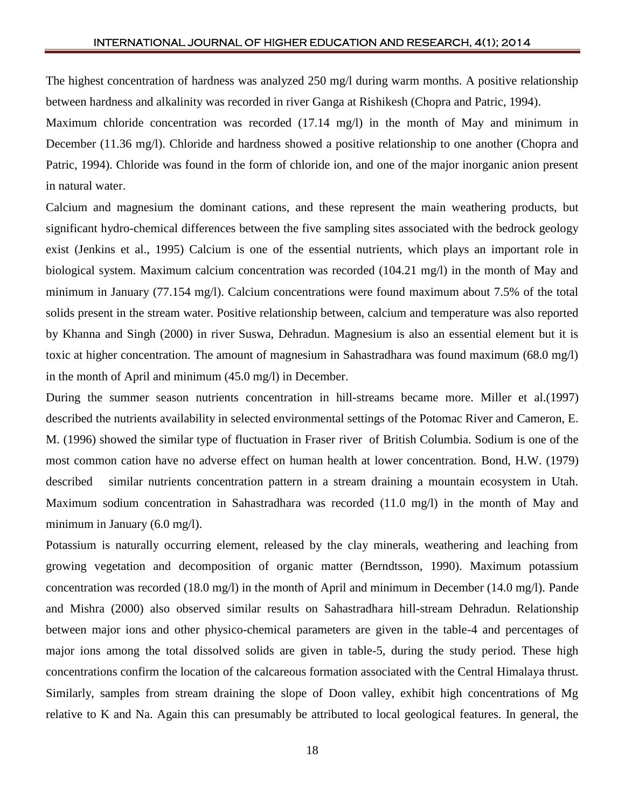The highest concentration of hardness was analyzed 250 mg/l during warm months. A positive relationship between hardness and alkalinity was recorded in river Ganga at Rishikesh (Chopra and Patric, 1994).

Maximum chloride concentration was recorded (17.14 mg/l) in the month of May and minimum in December (11.36 mg/l). Chloride and hardness showed a positive relationship to one another (Chopra and Patric, 1994). Chloride was found in the form of chloride ion, and one of the major inorganic anion present in natural water.

Calcium and magnesium the dominant cations, and these represent the main weathering products, but significant hydro-chemical differences between the five sampling sites associated with the bedrock geology exist (Jenkins et al., 1995) Calcium is one of the essential nutrients, which plays an important role in biological system. Maximum calcium concentration was recorded (104.21 mg/l) in the month of May and minimum in January (77.154 mg/l). Calcium concentrations were found maximum about 7.5% of the total solids present in the stream water. Positive relationship between, calcium and temperature was also reported by Khanna and Singh (2000) in river Suswa, Dehradun. Magnesium is also an essential element but it is toxic at higher concentration. The amount of magnesium in Sahastradhara was found maximum (68.0 mg/l) in the month of April and minimum (45.0 mg/l) in December.

During the summer season nutrients concentration in hill-streams became more. Miller et al.(1997) described the nutrients availability in selected environmental settings of the Potomac River and Cameron, E. M. (1996) showed the similar type of fluctuation in Fraser river of British Columbia. Sodium is one of the most common cation have no adverse effect on human health at lower concentration. Bond, H.W. (1979) described similar nutrients concentration pattern in a stream draining a mountain ecosystem in Utah. Maximum sodium concentration in Sahastradhara was recorded (11.0 mg/l) in the month of May and minimum in January (6.0 mg/l).

Potassium is naturally occurring element, released by the clay minerals, weathering and leaching from growing vegetation and decomposition of organic matter (Berndtsson, 1990). Maximum potassium concentration was recorded (18.0 mg/l) in the month of April and minimum in December (14.0 mg/l). Pande and Mishra (2000) also observed similar results on Sahastradhara hill-stream Dehradun. Relationship between major ions and other physico-chemical parameters are given in the table-4 and percentages of major ions among the total dissolved solids are given in table-5, during the study period. These high concentrations confirm the location of the calcareous formation associated with the Central Himalaya thrust. Similarly, samples from stream draining the slope of Doon valley, exhibit high concentrations of Mg relative to K and Na. Again this can presumably be attributed to local geological features. In general, the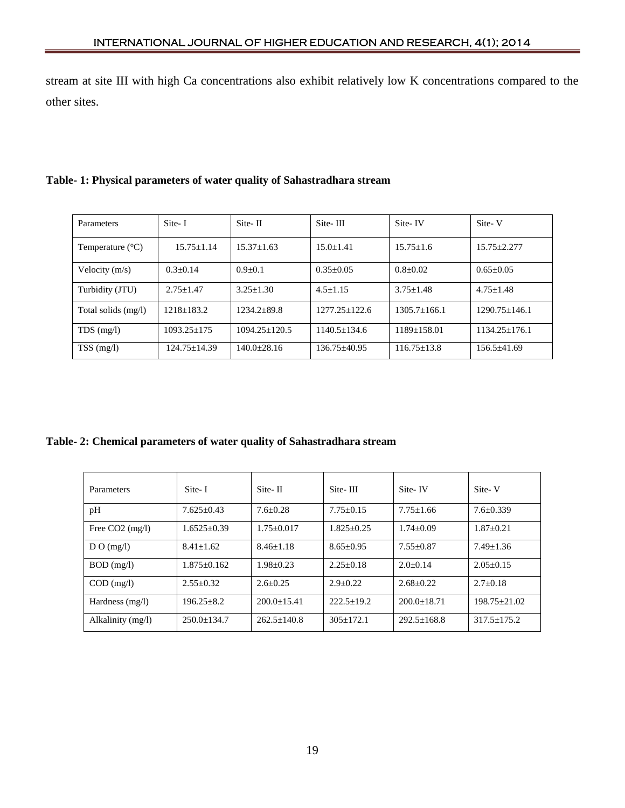stream at site III with high Ca concentrations also exhibit relatively low K concentrations compared to the other sites.

| Parameters                | Site-I           | Site-II           | Site-III          | Site-IV          | Site-V            |
|---------------------------|------------------|-------------------|-------------------|------------------|-------------------|
| Temperature $(^{\circ}C)$ | $15.75 + 1.14$   | $15.37 + 1.63$    | $15.0 + 1.41$     | $15.75 + 1.6$    | $15.75 + 2.277$   |
| Velocity $(m/s)$          | $0.3+0.14$       | $0.9+0.1$         | $0.35 + 0.05$     | $0.8 + 0.02$     | $0.65 + 0.05$     |
| Turbidity (JTU)           | $2.75 + 1.47$    | $3.25 + 1.30$     | $4.5 + 1.15$      | $3.75 + 1.48$    | $4.75 + 1.48$     |
| Total solids (mg/l)       | $1218 + 183.2$   | $1234.2 + 89.8$   | $1277.25 + 122.6$ | $1305.7 + 166.1$ | $1290.75 + 146.1$ |
| $TDS$ (mg/l)              | $1093.25 + 175$  | $1094.25 + 120.5$ | $1140.5+134.6$    | $1189+158.01$    | $1134.25 + 176.1$ |
| $TSS \text{ (mg/l)}$      | $124.75 + 14.39$ | $140.0+28.16$     | $136.75 + 40.95$  | $116.75 + 13.8$  | $156.5 \pm 41.69$ |

### **Table- 1: Physical parameters of water quality of Sahastradhara stream**

**Table- 2: Chemical parameters of water quality of Sahastradhara stream**

| Parameters        | Site-I           | Site-II         | Site-III         | Site-IV         | Site-V            |
|-------------------|------------------|-----------------|------------------|-----------------|-------------------|
| pH                | $7.625 + 0.43$   | $7.6 + 0.28$    | $7.75+0.15$      | $7.75 + 1.66$   | $7.6 + 0.339$     |
| Free $CO2$ (mg/l) | $1.6525+0.39$    | $1.75+0.017$    | $1.825 \pm 0.25$ | $1.74 + 0.09$   | $1.87 + 0.21$     |
| D O (mg/l)        | $8.41 + 1.62$    | $8.46 + 1.18$   | $8.65 \pm 0.95$  | $7.55 + 0.87$   | $7.49 + 1.36$     |
| $BOD$ (mg/l)      | $1.875 + 0.162$  | $1.98 + 0.23$   | $2.25+0.18$      | $2.0+0.14$      | $2.05+0.15$       |
| $COD$ (mg/l)      | $2.55+0.32$      | $2.6 + 0.25$    | $2.9+0.22$       | $2.68 + 0.22$   | $2.7+0.18$        |
| Hardness $(mg/l)$ | $196.25 \pm 8.2$ | $200.0+15.41$   | $222.5+19.2$     | $200.0+18.71$   | $198.75 + 21.02$  |
| Alkalinity (mg/l) | $250.0+134.7$    | $262.5 + 140.8$ | $305+172.1$      | $292.5 + 168.8$ | $317.5 \pm 175.2$ |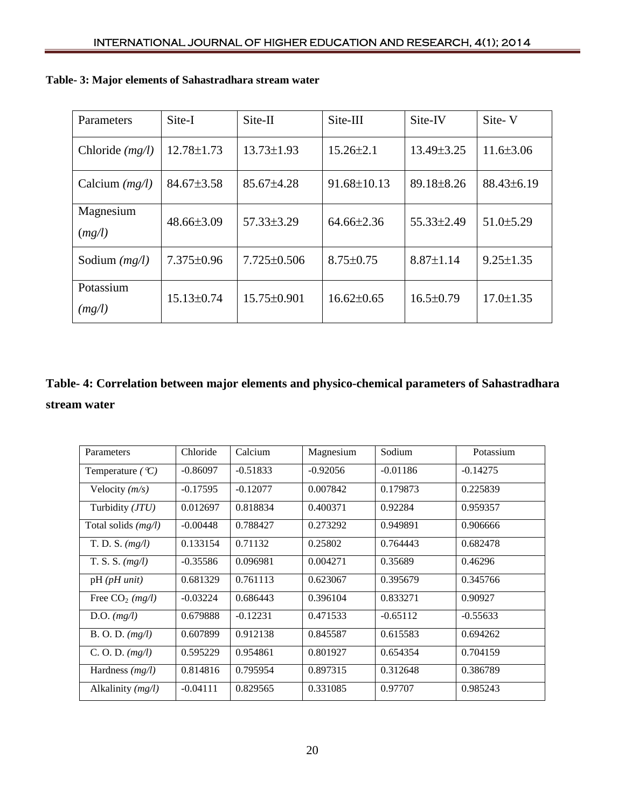| Parameters          | Site-I           | $Site-II$         | Site-III          | Site-IV          | Site-V          |
|---------------------|------------------|-------------------|-------------------|------------------|-----------------|
| Chloride $(mg/l)$   | $12.78 \pm 1.73$ | $13.73 \pm 1.93$  | $15.26 \pm 2.1$   | $13.49 \pm 3.25$ | $11.6 \pm 3.06$ |
| Calcium $(mg/l)$    | $84.67 \pm 3.58$ | $85.67{\pm}4.28$  | $91.68 \pm 10.13$ | 89.18±8.26       | $88.43\pm6.19$  |
| Magnesium<br>(mg/l) | $48.66\pm3.09$   | $57.33\pm3.29$    | $64.66\pm2.36$    | 55.33±2.49       | $51.0 \pm 5.29$ |
| Sodium $(mg/l)$     | $7.375 \pm 0.96$ | $7.725 \pm 0.506$ | $8.75 \pm 0.75$   | $8.87 \pm 1.14$  | $9.25 \pm 1.35$ |
| Potassium<br>(mg/l) | $15.13 \pm 0.74$ | $15.75 \pm 0.901$ | $16.62 \pm 0.65$  | $16.5 \pm 0.79$  | $17.0 \pm 1.35$ |

## **Table- 3: Major elements of Sahastradhara stream water**

## **Table- 4: Correlation between major elements and physico-chemical parameters of Sahastradhara stream water**

| Parameters                    | Chloride   | Calcium    | Magnesium  | Sodium     | Potassium  |
|-------------------------------|------------|------------|------------|------------|------------|
| Temperature ( $\mathcal{C}$ ) | $-0.86097$ | $-0.51833$ | $-0.92056$ | $-0.01186$ | $-0.14275$ |
| Velocity $(m/s)$              | $-0.17595$ | $-0.12077$ | 0.007842   | 0.179873   | 0.225839   |
| Turbidity (JTU)               | 0.012697   | 0.818834   | 0.400371   | 0.92284    | 0.959357   |
| Total solids $(mg/l)$         | $-0.00448$ | 0.788427   | 0.273292   | 0.949891   | 0.906666   |
| T. D. S. $(mg/l)$             | 0.133154   | 0.71132    | 0.25802    | 0.764443   | 0.682478   |
| $T.S.S.$ $(mg/l)$             | $-0.35586$ | 0.096981   | 0.004271   | 0.35689    | 0.46296    |
| $pH$ ( $pH$ unit)             | 0.681329   | 0.761113   | 0.623067   | 0.395679   | 0.345766   |
| Free $CO2$ (mg/l)             | $-0.03224$ | 0.686443   | 0.396104   | 0.833271   | 0.90927    |
| D.O. $(mg/l)$                 | 0.679888   | $-0.12231$ | 0.471533   | $-0.65112$ | $-0.55633$ |
| B. O. D. (mg/l)               | 0.607899   | 0.912138   | 0.845587   | 0.615583   | 0.694262   |
| C. O. D. $(mg/l)$             | 0.595229   | 0.954861   | 0.801927   | 0.654354   | 0.704159   |
| Hardness $(mg/l)$             | 0.814816   | 0.795954   | 0.897315   | 0.312648   | 0.386789   |
| Alkalinity $(mg/l)$           | $-0.04111$ | 0.829565   | 0.331085   | 0.97707    | 0.985243   |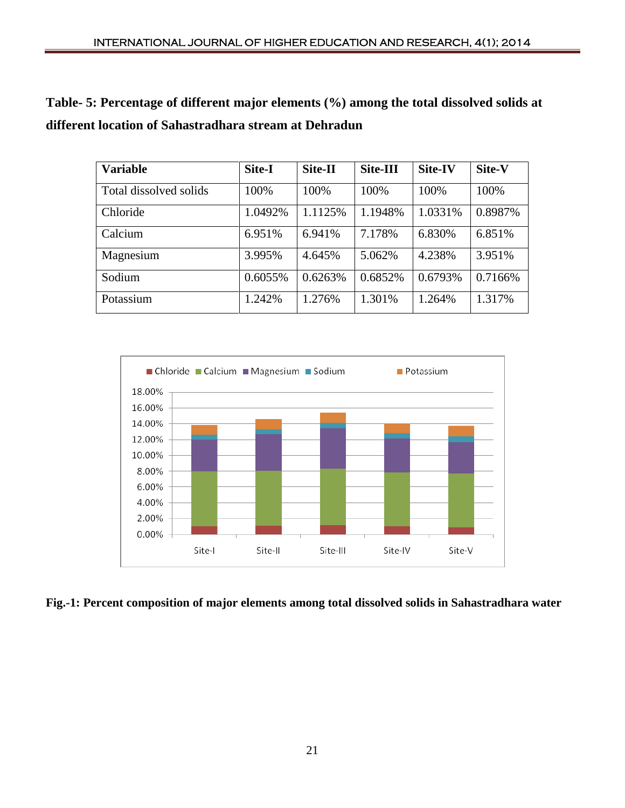**Table- 5: Percentage of different major elements (%) among the total dissolved solids at different location of Sahastradhara stream at Dehradun**

| <b>Variable</b>        | Site-I  | Site-II | Site-III | Site-IV | Site-V  |
|------------------------|---------|---------|----------|---------|---------|
| Total dissolved solids | 100%    | 100%    | 100%     | 100%    | 100%    |
| Chloride               | 1.0492% | 1.1125% | 1.1948%  | 1.0331% | 0.8987% |
| Calcium                | 6.951%  | 6.941%  | 7.178%   | 6.830%  | 6.851%  |
| Magnesium              | 3.995%  | 4.645%  | 5.062%   | 4.238%  | 3.951%  |
| Sodium                 | 0.6055% | 0.6263% | 0.6852%  | 0.6793% | 0.7166% |
| Potassium              | 1.242%  | 1.276%  | 1.301%   | 1.264%  | 1.317%  |



**Fig.-1: Percent composition of major elements among total dissolved solids in Sahastradhara water**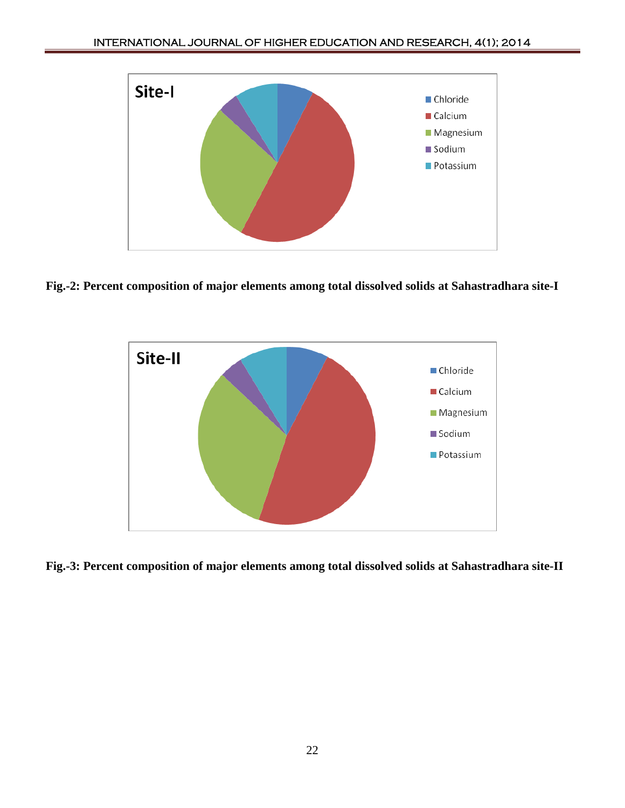

**Fig.-2: Percent composition of major elements among total dissolved solids at Sahastradhara site-I**



**Fig.-3: Percent composition of major elements among total dissolved solids at Sahastradhara site-II**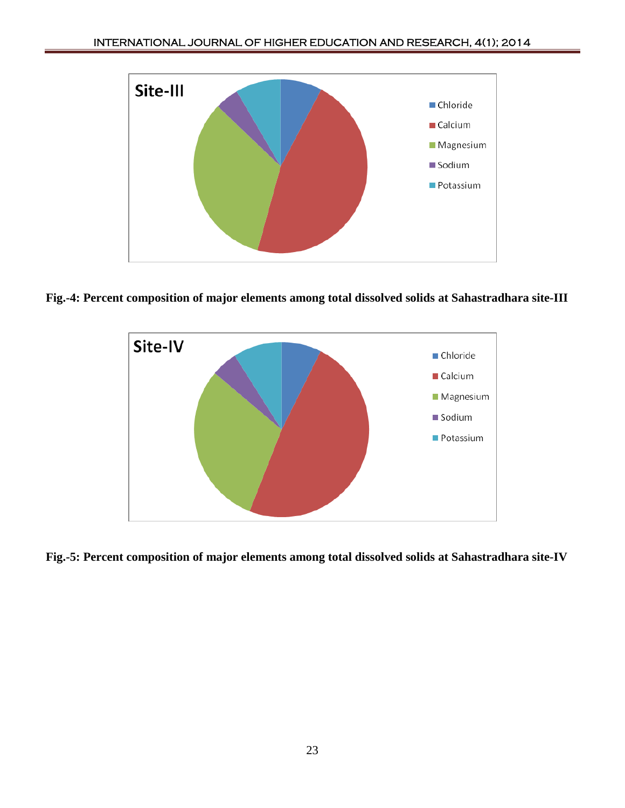

**Fig.-4: Percent composition of major elements among total dissolved solids at Sahastradhara site-III**



**Fig.-5: Percent composition of major elements among total dissolved solids at Sahastradhara site-IV**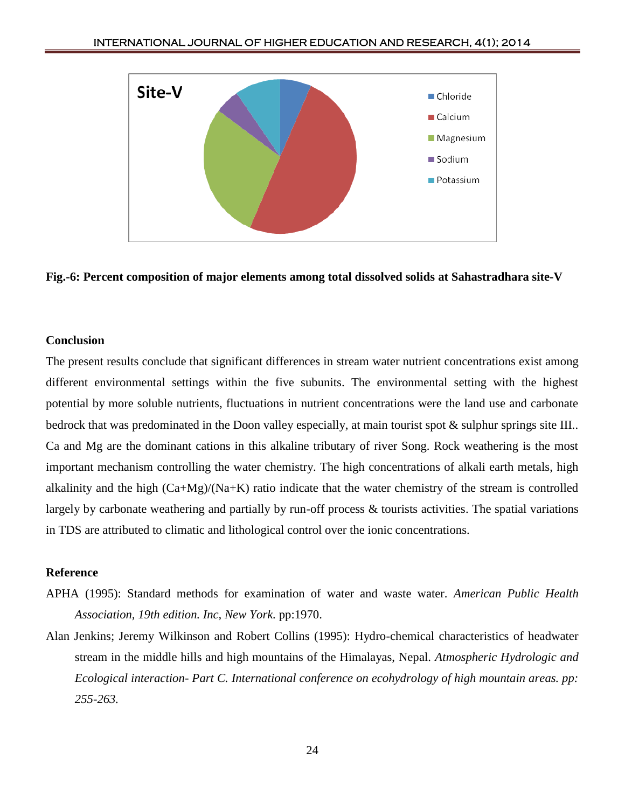

**Fig.-6: Percent composition of major elements among total dissolved solids at Sahastradhara site-V**

#### **Conclusion**

The present results conclude that significant differences in stream water nutrient concentrations exist among different environmental settings within the five subunits. The environmental setting with the highest potential by more soluble nutrients, fluctuations in nutrient concentrations were the land use and carbonate bedrock that was predominated in the Doon valley especially, at main tourist spot & sulphur springs site III.. Ca and Mg are the dominant cations in this alkaline tributary of river Song. Rock weathering is the most important mechanism controlling the water chemistry. The high concentrations of alkali earth metals, high alkalinity and the high  $(Ca+Mg)/(Na+K)$  ratio indicate that the water chemistry of the stream is controlled largely by carbonate weathering and partially by run-off process & tourists activities. The spatial variations in TDS are attributed to climatic and lithological control over the ionic concentrations.

#### **Reference**

- APHA (1995): Standard methods for examination of water and waste water. *American Public Health Association, 19th edition. Inc, New York.* pp:1970.
- Alan Jenkins; Jeremy Wilkinson and Robert Collins (1995): Hydro-chemical characteristics of headwater stream in the middle hills and high mountains of the Himalayas, Nepal. *Atmospheric Hydrologic and Ecological interaction- Part C. International conference on ecohydrology of high mountain areas. pp: 255-263.*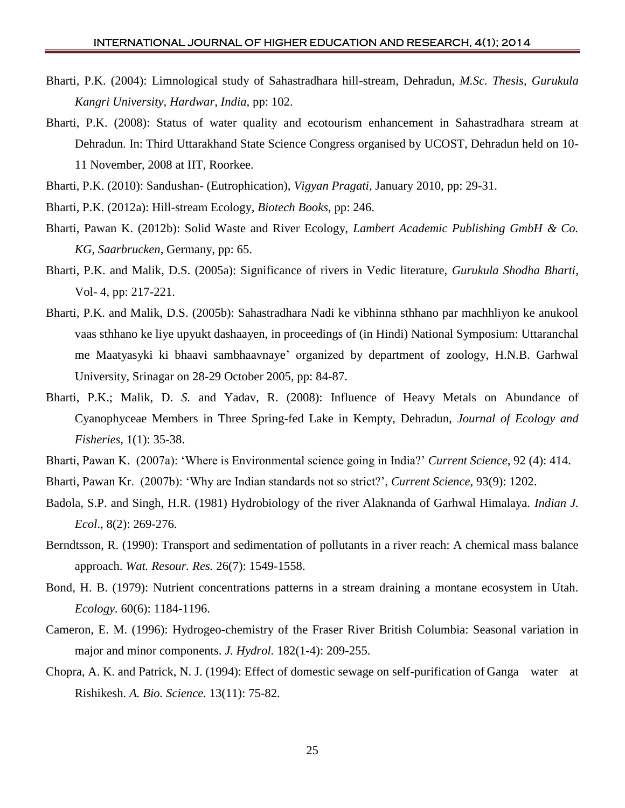- Bharti, P.K. (2004): Limnological study of Sahastradhara hill-stream, Dehradun, *M.Sc. Thesis, Gurukula Kangri University, Hardwar, India,* pp: 102.
- Bharti, P.K. (2008): Status of water quality and ecotourism enhancement in Sahastradhara stream at Dehradun. In: Third Uttarakhand State Science Congress organised by UCOST, Dehradun held on 10- 11 November, 2008 at IIT, Roorkee.
- Bharti, P.K. (2010): Sandushan- (Eutrophication), *Vigyan Pragati,* January 2010, pp: 29-31.
- Bharti, P.K. (2012a): Hill-stream Ecology, *Biotech Books*, pp: 246.
- Bharti, Pawan K. (2012b): Solid Waste and River Ecology, *Lambert Academic Publishing GmbH & Co. KG, Saarbrucken*, Germany, pp: 65.
- Bharti, P.K. and Malik, D.S. (2005a): Significance of rivers in Vedic literature, *Gurukula Shodha Bharti,* Vol- 4, pp: 217-221.
- Bharti, P.K. and Malik, D.S. (2005b): Sahastradhara Nadi ke vibhinna sthhano par machhliyon ke anukool vaas sthhano ke liye upyukt dashaayen, in proceedings of (in Hindi) National Symposium: Uttaranchal me Maatyasyki ki bhaavi sambhaavnaye' organized by department of zoology, H.N.B. Garhwal University, Srinagar on 28-29 October 2005, pp: 84-87.
- Bharti, P.K.; Malik, D. *S.* and Yadav, R. (2008): Influence of Heavy Metals on Abundance of Cyanophyceae Members in Three Spring-fed Lake in Kempty, Dehradun, *Journal of Ecology and Fisheries*, 1(1): 35-38.
- Bharti, Pawan K. (2007a): 'Where is Environmental science going in India?' *Current Science,* 92 (4): 414.
- Bharti, Pawan Kr. (2007b): 'Why are Indian standards not so strict?', *Current Science,* 93(9): 1202.
- Badola, S.P. and Singh, H.R. (1981) Hydrobiology of the river Alaknanda of Garhwal Himalaya. *Indian J. Ecol*., 8(2): 269-276.
- Berndtsson, R. (1990): Transport and sedimentation of pollutants in a river reach: A chemical mass balance approach. *Wat. Resour. Res.* 26(7): 1549-1558.
- Bond, H. B. (1979): Nutrient concentrations patterns in a stream draining a montane ecosystem in Utah. *Ecology.* 60(6): 1184-1196.
- Cameron, E. M. (1996): Hydrogeo-chemistry of the Fraser River British Columbia: Seasonal variation in major and minor components. *J. Hydrol.* 182(1-4): 209-255.
- Chopra, A. K. and Patrick, N. J. (1994): Effect of domestic sewage on self-purification of Ganga water at Rishikesh. *A. Bio. Science.* 13(11): 75-82.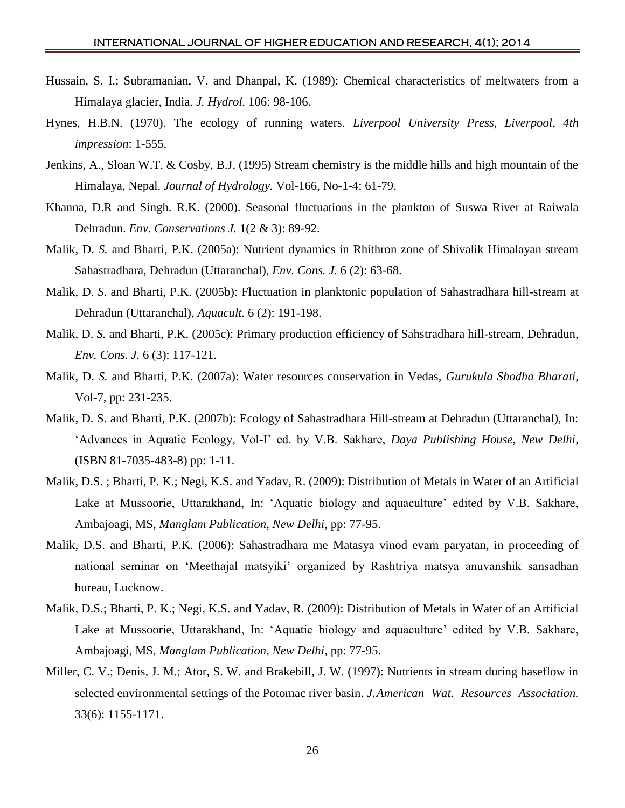- Hussain, S. I.; Subramanian, V. and Dhanpal, K. (1989): Chemical characteristics of meltwaters from a Himalaya glacier, India. *J. Hydrol.* 106: 98-106.
- Hynes, H.B.N. (1970). The ecology of running waters. *Liverpool University Press, Liverpool, 4th impression*: 1-555.
- Jenkins, A., Sloan W.T. & Cosby, B.J. (1995) Stream chemistry is the middle hills and high mountain of the Himalaya, Nepal. *Journal of Hydrology.* Vol-166, No-1-4: 61-79.
- Khanna, D.R and Singh. R.K. (2000). Seasonal fluctuations in the plankton of Suswa River at Raiwala Dehradun. *Env. Conservations J.* 1(2 & 3): 89-92.
- Malik, D. *S.* and Bharti, P.K. (2005a): Nutrient dynamics in Rhithron zone of Shivalik Himalayan stream Sahastradhara, Dehradun (Uttaranchal), *Env. Cons. J.* 6 (2): 63-68.
- Malik, D. *S.* and Bharti, P.K. (2005b): Fluctuation in planktonic population of Sahastradhara hill-stream at Dehradun (Uttaranchal), *Aquacult.* 6 (2): 191-198.
- Malik, D. *S.* and Bharti, P.K. (2005c): Primary production efficiency of Sahstradhara hill-stream, Dehradun, *Env. Cons. J.* 6 (3): 117-121.
- Malik, D. *S.* and Bharti, P.K. (2007a): Water resources conservation in Vedas, *Gurukula Shodha Bharati,* Vol-7, pp: 231-235.
- Malik, D. S. and Bharti, P.K. (2007b): Ecology of Sahastradhara Hill-stream at Dehradun (Uttaranchal), In: 'Advances in Aquatic Ecology, Vol-I' ed. by V.B. Sakhare, *Daya Publishing House, New Delhi*, (ISBN 81-7035-483-8) pp: 1-11.
- Malik, D.S. ; Bharti, P. K.; Negi, K.S. and Yadav, R. (2009): Distribution of Metals in Water of an Artificial Lake at Mussoorie, Uttarakhand, In: 'Aquatic biology and aquaculture' edited by V.B. Sakhare, Ambajoagi, MS, *Manglam Publication, New Delhi*, pp: 77-95.
- Malik, D.S. and Bharti, P.K. (2006): Sahastradhara me Matasya vinod evam paryatan, in proceeding of national seminar on 'Meethajal matsyiki' organized by Rashtriya matsya anuvanshik sansadhan bureau, Lucknow.
- Malik, D.S.; Bharti, P. K.; Negi, K.S. and Yadav, R. (2009): Distribution of Metals in Water of an Artificial Lake at Mussoorie, Uttarakhand, In: 'Aquatic biology and aquaculture' edited by V.B. Sakhare, Ambajoagi, MS, *Manglam Publication, New Delhi*, pp: 77-95.
- Miller, C. V.; Denis, J. M.; Ator, S. W. and Brakebill, J. W. (1997): Nutrients in stream during baseflow in selected environmental settings of the Potomac river basin. *J.American Wat. Resources Association.*  33(6): 1155-1171.